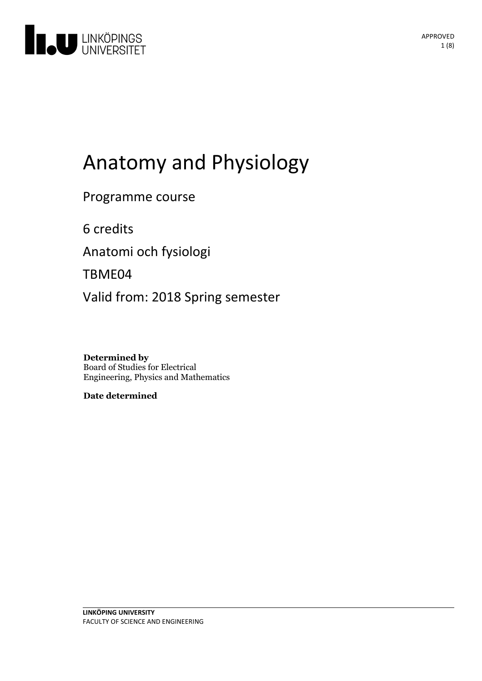

# Anatomyand Physiology

Programme course

6 credits

Anatomi och fysiologi

TBME04

Valid from: 2018 Spring semester

**Determined by** Board of Studies for Electrical Engineering, Physics and Mathematics

**Date determined**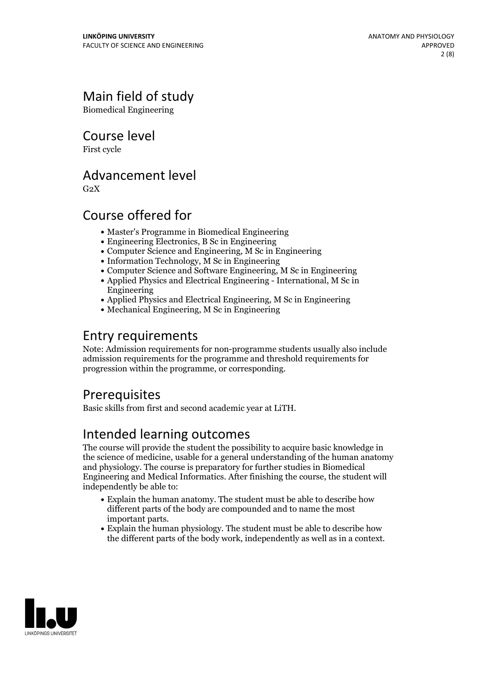# Main field of study

Biomedical Engineering

Course level

First cycle

### Advancement level

 $G<sub>2</sub>X$ 

# Course offered for

- Master's Programme in Biomedical Engineering
- Engineering Electronics, B Sc in Engineering
- Computer Science and Engineering, M Sc in Engineering
- $\bullet$  Information Technology, M Sc in Engineering
- Computer Science and Software Engineering, M Sc in Engineering
- Applied Physics and Electrical Engineering International, M Sc in Engineering
- Applied Physics and Electrical Engineering, M Sc in Engineering
- Mechanical Engineering, M Sc in Engineering

# Entry requirements

Note: Admission requirements for non-programme students usually also include admission requirements for the programme and threshold requirements for progression within the programme, or corresponding.

# **Prerequisites**

Basic skills from first and second academic year at LiTH.

# Intended learning outcomes

The course will provide the student the possibility to acquire basic knowledge in the science of medicine, usable for a general understanding of the human anatomy and physiology. The course is preparatory for further studies in Biomedical Engineering and Medical Informatics. After finishing the course, the student will independently be able to:

- Explain the human anatomy. The student must be able to describe how different parts of the body are compounded and to name the most important parts.<br>• Explain the human physiology. The student must be able to describe how
- the different parts of the body work, independently as well as in a context.

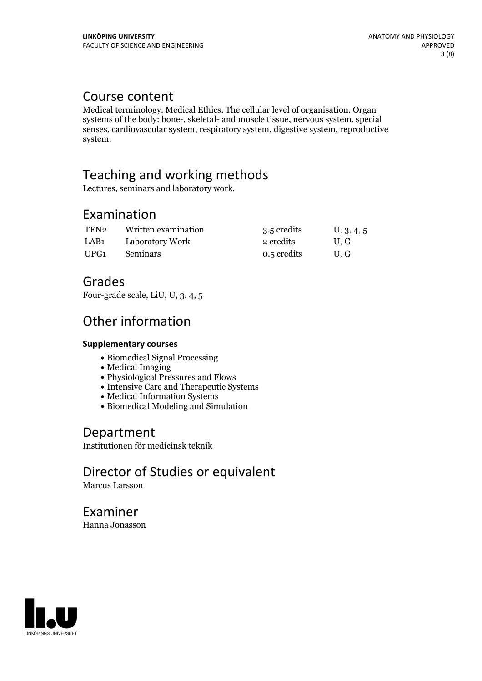### Course content

Medical terminology. Medical Ethics. The cellular level of organisation. Organ systems of the body: bone-, skeletal- and muscle tissue, nervous system, special senses, cardiovascular system, respiratory system, digestive system, reproductive system.

# Teaching and working methods

Lectures, seminars and laboratory work.

### Examination

| TEN2 | Written examination | 3.5 credits | U, 3, 4, 5 |
|------|---------------------|-------------|------------|
| LAB1 | Laboratory Work     | 2 credits   | U.G        |
| UPG1 | <b>Seminars</b>     | 0.5 credits | U.G        |

### Grades

Four-grade scale, LiU, U, 3, 4, 5

### Other information

#### **Supplementarycourses**

- Biomedical Signal Processing
- Medical Imaging
- Physiological Pressures and Flows
- Intensive Care and Therapeutic Systems
- Medical Information Systems
- Biomedical Modeling and Simulation

### Department

Institutionen för medicinsk teknik

# Director of Studies or equivalent

Marcus Larsson

Examiner Hanna Jonasson

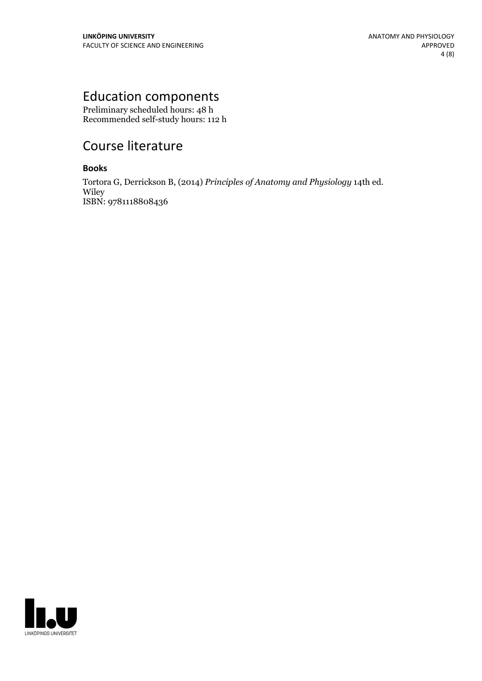# Education components

Preliminary scheduled hours: 48 h Recommended self-study hours: 112 h

# Course literature

### **Books**

Tortora G, Derrickson B, (2014) *Principles of Anatomy and Physiology* 14th ed. Wiley ISBN: 9781118808436

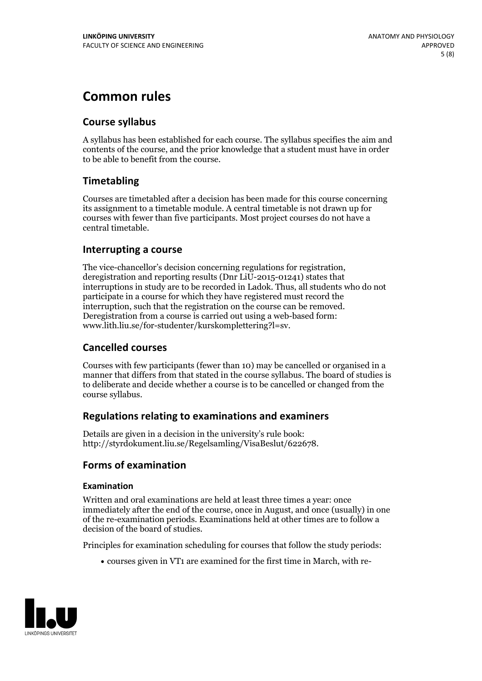# **Common rules**

### **Course syllabus**

A syllabus has been established for each course. The syllabus specifies the aim and contents of the course, and the prior knowledge that a student must have in order to be able to benefit from the course.

### **Timetabling**

Courses are timetabled after a decision has been made for this course concerning its assignment to a timetable module. A central timetable is not drawn up for courses with fewer than five participants. Most project courses do not have a central timetable.

### **Interrupting a course**

The vice-chancellor's decision concerning regulations for registration, deregistration and reporting results (Dnr LiU-2015-01241) states that interruptions in study are to be recorded in Ladok. Thus, all students who do not participate in a course for which they have registered must record the interruption, such that the registration on the course can be removed. Deregistration from <sup>a</sup> course is carried outusing <sup>a</sup> web-based form: www.lith.liu.se/for-studenter/kurskomplettering?l=sv.

### **Cancelled courses**

Courses with few participants (fewer than 10) may be cancelled or organised in a manner that differs from that stated in the course syllabus. The board of studies is to deliberate and decide whether a course is to be cancelled orchanged from the course syllabus.

### **Regulations relatingto examinations and examiners**

Details are given in a decision in the university's rule book: http://styrdokument.liu.se/Regelsamling/VisaBeslut/622678.

### **Forms of examination**

#### **Examination**

Written and oral examinations are held at least three times a year: once immediately after the end of the course, once in August, and once (usually) in one of the re-examination periods. Examinations held at other times are to follow a decision of the board of studies.

Principles for examination scheduling for courses that follow the study periods:

courses given in VT1 are examined for the first time in March, with re-

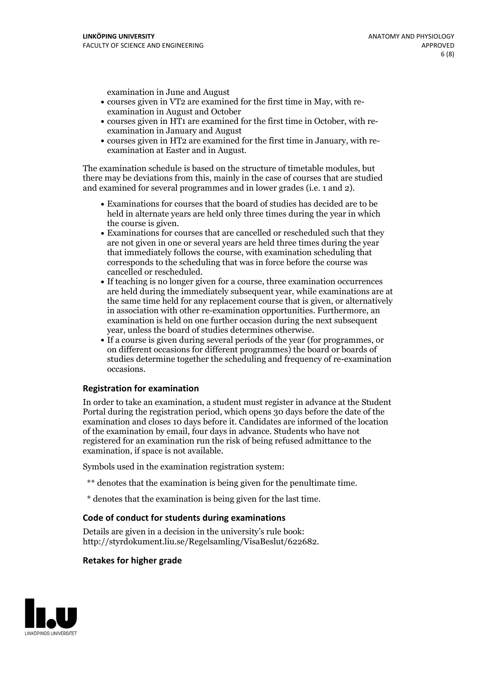examination in June and August

- courses given in VT2 are examined for the first time in May, with re-examination in August and October
- courses given in HT1 are examined for the first time in October, with re-examination in January and August
- courses given in HT2 are examined for the first time in January, with re-examination at Easter and in August.

The examination schedule is based on the structure of timetable modules, but there may be deviations from this, mainly in the case of courses that are studied and examined for several programmes and in lower grades (i.e. 1 and 2).

- Examinations for courses that the board of studies has decided are to be held in alternate years are held only three times during the year in which
- the course is given.<br>• Examinations for courses that are cancelled or rescheduled such that they are not given in one or several years are held three times during the year that immediately follows the course, with examination scheduling that corresponds to the scheduling that was in force before the course was cancelled or rescheduled.<br>• If teaching is no longer given for a course, three examination occurrences
- are held during the immediately subsequent year, while examinations are at the same time held for any replacement course that is given, or alternatively in association with other re-examination opportunities. Furthermore, an examination is held on one further occasion during the next subsequent year, unless the board of studies determines otherwise.<br>• If a course is given during several periods of the year (for programmes, or
- on different occasions for different programmes) the board orboards of studies determine together the scheduling and frequency of re-examination occasions.

#### **Registration for examination**

In order to take an examination, a student must register in advance at the Student Portal during the registration period, which opens 30 days before the date of the examination and closes 10 days before it. Candidates are informed of the location of the examination by email, four days in advance. Students who have not registered for an examination run the risk of being refused admittance to the examination, if space is not available.

Symbols used in the examination registration system:

- \*\* denotes that the examination is being given for the penultimate time.
- \* denotes that the examination is being given for the last time.

#### **Code of conduct for students during examinations**

Details are given in a decision in the university's rule book: http://styrdokument.liu.se/Regelsamling/VisaBeslut/622682.

#### **Retakes for higher grade**

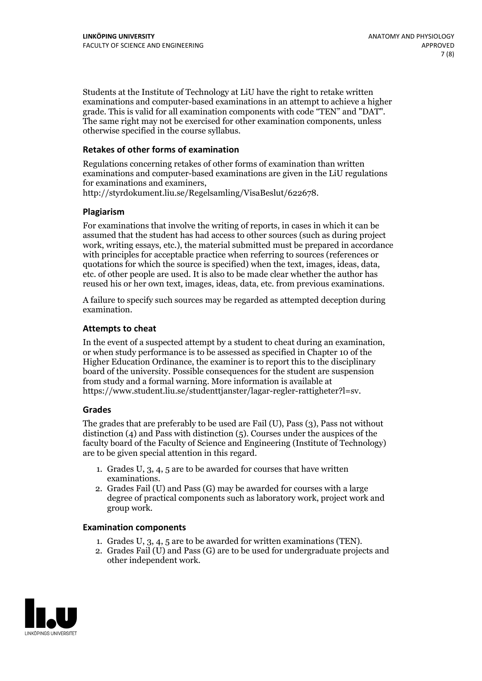Students at the Institute of Technology at LiU have the right to retake written examinations and computer-based examinations in an attempt to achieve a higher grade. This is valid for all examination components with code "TEN" and "DAT". The same right may not be exercised for other examination components, unless otherwise specified in the course syllabus.

#### **Retakes of other forms of examination**

Regulations concerning retakes of other forms of examination than written examinations and computer-based examinations are given in the LiU regulations for examinations and examiners, http://styrdokument.liu.se/Regelsamling/VisaBeslut/622678.

#### **Plagiarism**

For examinations that involve the writing of reports, in cases in which it can be assumed that the student has had access to other sources (such as during project work, writing essays, etc.), the material submitted must be prepared in accordance with principles for acceptable practice when referring to sources (references or quotations for which the source is specified) when the text, images, ideas, data, etc. of other people are used. It is also to be made clear whether the author has reused his or her own text, images, ideas, data, etc. from previous examinations.

A failure to specify such sources may be regarded as attempted deception during examination.

#### **Attempts to cheat**

In the event of <sup>a</sup> suspected attempt by <sup>a</sup> student to cheat during an examination, or when study performance is to be assessed as specified in Chapter <sup>10</sup> of the Higher Education Ordinance, the examiner is to report this to the disciplinary board of the university. Possible consequences for the student are suspension from study and a formal warning. More information is available at https://www.student.liu.se/studenttjanster/lagar-regler-rattigheter?l=sv.

#### **Grades**

The grades that are preferably to be used are Fail (U), Pass (3), Pass not without distinction  $(4)$  and Pass with distinction  $(5)$ . Courses under the auspices of the faculty board of the Faculty of Science and Engineering (Institute of Technology) are to be given special attention in this regard.

- 1. Grades U, 3, 4, 5 are to be awarded for courses that have written
- examinations. 2. Grades Fail (U) and Pass (G) may be awarded for courses with <sup>a</sup> large degree of practical components such as laboratory work, project work and group work.

#### **Examination components**

- 
- 1. Grades U, 3, 4, <sup>5</sup> are to be awarded for written examinations (TEN). 2. Grades Fail (U) and Pass (G) are to be used for undergraduate projects and other independent work.